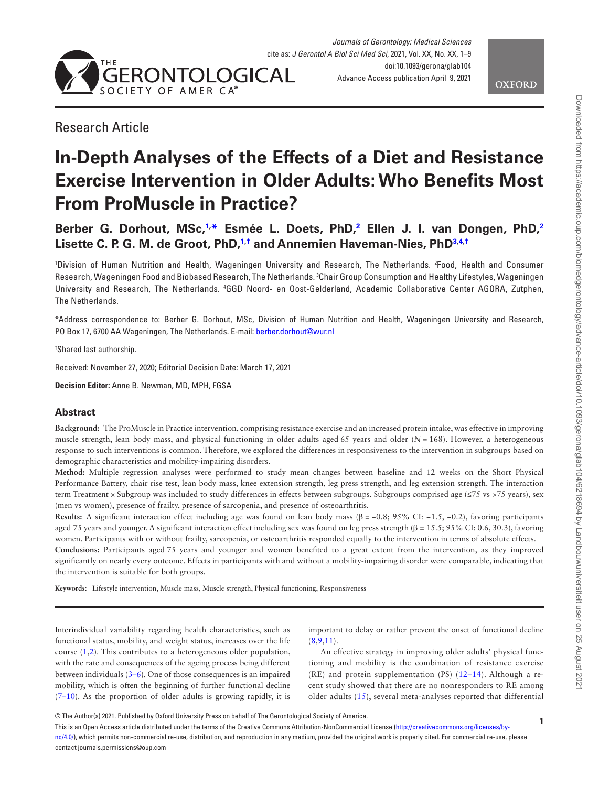



# Research Article

# **In-Depth Analyses of the Effects of a Diet and Resistance Exercise Intervention in Older Adults: Who Benefits Most From ProMuscle in Practice?**

**Berber G. Dorhout, MSc[,1,](#page-0-0) [\\*](#page-0-1) Esmée L. Doets, PhD[,2](#page-0-2) Ellen J. I. van Dongen, PhD,[2](#page-0-2) Lisette C. P. G. M. de Groot, PhD[,1,](#page-0-0)[†](#page-0-3) and Annemien Haveman-Nies, Ph[D3](#page-0-4)[,4](#page-0-5)[,†](#page-0-3)**

<span id="page-0-5"></span><span id="page-0-4"></span><span id="page-0-2"></span><span id="page-0-0"></span>1 Division of Human Nutrition and Health, Wageningen University and Research, The Netherlands. 2 Food, Health and Consumer Research, Wageningen Food and Biobased Research, The Netherlands. <sup>3</sup>Chair Group Consumption and Healthy Lifestyles, Wageningen University and Research, The Netherlands. <sup>4</sup>GGD Noord- en Oost-Gelderland, Academic Collaborative Center AGORA, Zutphen, The Netherlands.

<span id="page-0-1"></span>\*Address correspondence to: Berber G. Dorhout, MSc, Division of Human Nutrition and Health, Wageningen University and Research, PO Box 17, 6700 AA Wageningen, The Netherlands. E-mail: [berber.dorhout@wur.nl](mailto:berber.dorhout@wur.nl?subject=)

<span id="page-0-3"></span>† Shared last authorship.

Received: November 27, 2020; Editorial Decision Date: March 17, 2021

**Decision Editor:** Anne B. Newman, MD, MPH, FGSA

# **Abstract**

**Background:** The ProMuscle in Practice intervention, comprising resistance exercise and an increased protein intake, was effective in improving muscle strength, lean body mass, and physical functioning in older adults aged 65 years and older (*N* = 168). However, a heterogeneous response to such interventions is common. Therefore, we explored the differences in responsiveness to the intervention in subgroups based on demographic characteristics and mobility-impairing disorders.

**Method:** Multiple regression analyses were performed to study mean changes between baseline and 12 weeks on the Short Physical Performance Battery, chair rise test, lean body mass, knee extension strength, leg press strength, and leg extension strength. The interaction term Treatment × Subgroup was included to study differences in effects between subgroups. Subgroups comprised age (≤75 vs >75 years), sex (men vs women), presence of frailty, presence of sarcopenia, and presence of osteoarthritis.

**Results:** A significant interaction effect including age was found on lean body mass  $(\beta = -0.8; 95\% \text{ CI: } -1.5, -0.2)$ , favoring participants aged 75 years and younger. A significant interaction effect including sex was found on leg press strength (β = 15.5; 95% CI: 0.6, 30.3), favoring women. Participants with or without frailty, sarcopenia, or osteoarthritis responded equally to the intervention in terms of absolute effects. **Conclusions:** Participants aged 75 years and younger and women benefited to a great extent from the intervention, as they improved significantly on nearly every outcome. Effects in participants with and without a mobility-impairing disorder were comparable, indicating that

the intervention is suitable for both groups.

**Keywords:** Lifestyle intervention, Muscle mass, Muscle strength, Physical functioning, Responsiveness

Interindividual variability regarding health characteristics, such as functional status, mobility, and weight status, increases over the life course [\(1,](#page-6-0)[2](#page-6-1)). This contributes to a heterogeneous older population, with the rate and consequences of the ageing process being different between individuals [\(3–](#page-6-2)[6](#page-6-3)). One of those consequences is an impaired mobility, which is often the beginning of further functional decline [\(7–](#page-7-0)[10\)](#page-7-1). As the proportion of older adults is growing rapidly, it is

important to delay or rather prevent the onset of functional decline  $(8.9,11)$  $(8.9,11)$  $(8.9,11)$  $(8.9,11)$ .

An effective strategy in improving older adults' physical functioning and mobility is the combination of resistance exercise (RE) and protein supplementation (PS) ([12](#page-7-5)[–14\)](#page-7-6). Although a recent study showed that there are no nonresponders to RE among older adults ([15](#page-7-7)), several meta-analyses reported that differential

This is an Open Access article distributed under the terms of the Creative Commons Attribution-NonCommercial License ([http://creativecommons.org/licenses/by](http://creativecommons.org/licenses/by-nc/4.0/)[nc/4.0/](http://creativecommons.org/licenses/by-nc/4.0/)), which permits non-commercial re-use, distribution, and reproduction in any medium, provided the original work is properly cited. For commercial re-use, please contact journals.permissions@oup.com

<sup>©</sup> The Author(s) 2021. Published by Oxford University Press on behalf of The Gerontological Society of America.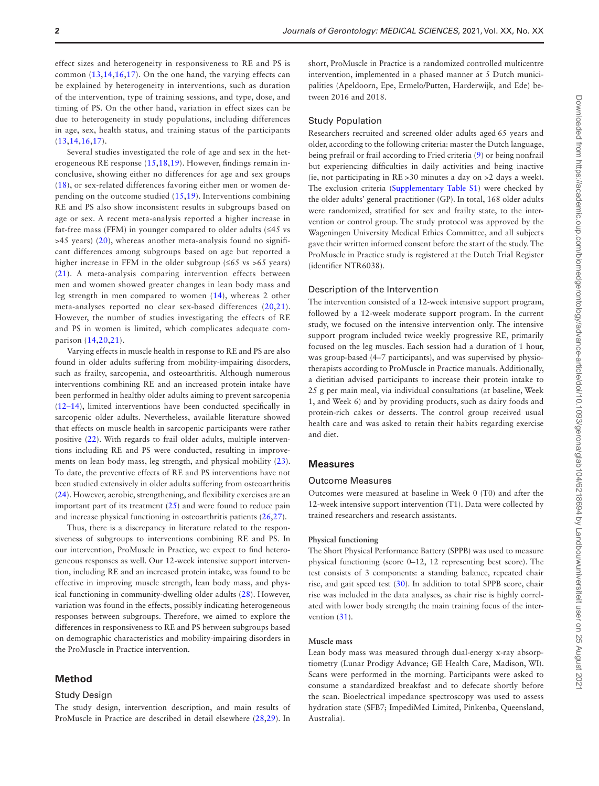effect sizes and heterogeneity in responsiveness to RE and PS is common ([13](#page-7-8),[14,](#page-7-6)[16](#page-7-9),[17\)](#page-7-10). On the one hand, the varying effects can be explained by heterogeneity in interventions, such as duration of the intervention, type of training sessions, and type, dose, and timing of PS. On the other hand, variation in effect sizes can be due to heterogeneity in study populations, including differences in age, sex, health status, and training status of the participants [\(13,](#page-7-8)[14](#page-7-6),[16,](#page-7-9)[17](#page-7-10)).

Several studies investigated the role of age and sex in the heterogeneous RE response [\(15](#page-7-7),[18](#page-7-11)[,19](#page-7-12)). However, findings remain inconclusive, showing either no differences for age and sex groups [\(18\)](#page-7-11), or sex-related differences favoring either men or women depending on the outcome studied ([15](#page-7-7)[,19\)](#page-7-12). Interventions combining RE and PS also show inconsistent results in subgroups based on age or sex. A recent meta-analysis reported a higher increase in fat-free mass (FFM) in younger compared to older adults  $(\leq 45 \text{ vs }$ >45 years) [\(20](#page-7-13)), whereas another meta-analysis found no significant differences among subgroups based on age but reported a higher increase in FFM in the older subgroup  $(565 \text{ vs } >65 \text{ years})$ [\(21\)](#page-7-14). A meta-analysis comparing intervention effects between men and women showed greater changes in lean body mass and leg strength in men compared to women ([14\)](#page-7-6), whereas 2 other meta-analyses reported no clear sex-based differences [\(20](#page-7-13),[21\)](#page-7-14). However, the number of studies investigating the effects of RE and PS in women is limited, which complicates adequate comparison ([14,](#page-7-6)[20](#page-7-13),[21\)](#page-7-14).

Varying effects in muscle health in response to RE and PS are also found in older adults suffering from mobility-impairing disorders, such as frailty, sarcopenia, and osteoarthritis. Although numerous interventions combining RE and an increased protein intake have been performed in healthy older adults aiming to prevent sarcopenia [\(12](#page-7-5)[–14](#page-7-6)), limited interventions have been conducted specifically in sarcopenic older adults. Nevertheless, available literature showed that effects on muscle health in sarcopenic participants were rather positive [\(22\)](#page-7-15). With regards to frail older adults, multiple interventions including RE and PS were conducted, resulting in improvements on lean body mass, leg strength, and physical mobility [\(23](#page-7-16)). To date, the preventive effects of RE and PS interventions have not been studied extensively in older adults suffering from osteoarthritis [\(24](#page-7-17)). However, aerobic, strengthening, and flexibility exercises are an important part of its treatment [\(25](#page-7-18)) and were found to reduce pain and increase physical functioning in osteoarthritis patients [\(26](#page-7-19),[27](#page-7-20)).

Thus, there is a discrepancy in literature related to the responsiveness of subgroups to interventions combining RE and PS. In our intervention, ProMuscle in Practice, we expect to find heterogeneous responses as well. Our 12-week intensive support intervention, including RE and an increased protein intake, was found to be effective in improving muscle strength, lean body mass, and physical functioning in community-dwelling older adults [\(28\)](#page-7-21). However, variation was found in the effects, possibly indicating heterogeneous responses between subgroups. Therefore, we aimed to explore the differences in responsiveness to RE and PS between subgroups based on demographic characteristics and mobility-impairing disorders in the ProMuscle in Practice intervention.

# **Method**

#### Study Design

The study design, intervention description, and main results of ProMuscle in Practice are described in detail elsewhere ([28,](#page-7-21)[29\)](#page-7-22). In short, ProMuscle in Practice is a randomized controlled multicentre intervention, implemented in a phased manner at 5 Dutch municipalities (Apeldoorn, Epe, Ermelo/Putten, Harderwijk, and Ede) between 2016 and 2018.

# Study Population

Researchers recruited and screened older adults aged 65 years and older, according to the following criteria: master the Dutch language, being prefrail or frail according to Fried criteria ([9](#page-7-3)) or being nonfrail but experiencing difficulties in daily activities and being inactive (ie, not participating in RE >30 minutes a day on >2 days a week). The exclusion criteria ([Supplementary Table S1](http://academic.oup.com/biomedgerontology/article-lookup/doi/10.1093/gerona/glab104#supplementary-data)) were checked by the older adults' general practitioner (GP). In total, 168 older adults were randomized, stratified for sex and frailty state, to the intervention or control group. The study protocol was approved by the Wageningen University Medical Ethics Committee, and all subjects gave their written informed consent before the start of the study. The ProMuscle in Practice study is registered at the Dutch Trial Register (identifier NTR6038).

#### Description of the Intervention

The intervention consisted of a 12-week intensive support program, followed by a 12-week moderate support program. In the current study, we focused on the intensive intervention only. The intensive support program included twice weekly progressive RE, primarily focused on the leg muscles. Each session had a duration of 1 hour, was group-based (4–7 participants), and was supervised by physiotherapists according to ProMuscle in Practice manuals. Additionally, a dietitian advised participants to increase their protein intake to 25 g per main meal, via individual consultations (at baseline, Week 1, and Week 6) and by providing products, such as dairy foods and protein-rich cakes or desserts. The control group received usual health care and was asked to retain their habits regarding exercise and diet.

# **Measures**

#### Outcome Measures

Outcomes were measured at baseline in Week 0 (T0) and after the 12-week intensive support intervention (T1). Data were collected by trained researchers and research assistants.

#### **Physical functioning**

The Short Physical Performance Battery (SPPB) was used to measure physical functioning (score 0–12, 12 representing best score). The test consists of 3 components: a standing balance, repeated chair rise, and gait speed test ([30\)](#page-7-23). In addition to total SPPB score, chair rise was included in the data analyses, as chair rise is highly correlated with lower body strength; the main training focus of the intervention  $(31)$  $(31)$ .

#### **Muscle mass**

Lean body mass was measured through dual-energy x-ray absorptiometry (Lunar Prodigy Advance; GE Health Care, Madison, WI). Scans were performed in the morning. Participants were asked to consume a standardized breakfast and to defecate shortly before the scan. Bioelectrical impedance spectroscopy was used to assess hydration state (SFB7; ImpediMed Limited, Pinkenba, Queensland, Australia).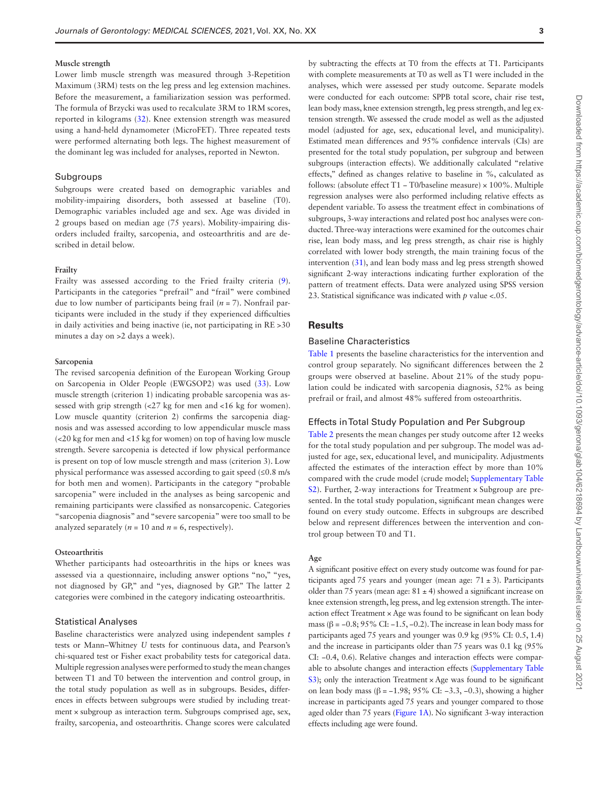#### **Muscle strength**

Lower limb muscle strength was measured through 3-Repetition Maximum (3RM) tests on the leg press and leg extension machines. Before the measurement, a familiarization session was performed. The formula of Brzycki was used to recalculate 3RM to 1RM scores, reported in kilograms [\(32](#page-7-25)). Knee extension strength was measured using a hand-held dynamometer (MicroFET). Three repeated tests were performed alternating both legs. The highest measurement of the dominant leg was included for analyses, reported in Newton.

### Subgroups

Subgroups were created based on demographic variables and mobility-impairing disorders, both assessed at baseline (T0). Demographic variables included age and sex. Age was divided in 2 groups based on median age (75 years). Mobility-impairing disorders included frailty, sarcopenia, and osteoarthritis and are described in detail below.

# **Frailty**

Frailty was assessed according to the Fried frailty criteria ([9](#page-7-3)). Participants in the categories "prefrail" and "frail" were combined due to low number of participants being frail (*n* = 7). Nonfrail participants were included in the study if they experienced difficulties in daily activities and being inactive (ie, not participating in RE >30 minutes a day on >2 days a week).

#### **Sarcopenia**

The revised sarcopenia definition of the European Working Group on Sarcopenia in Older People (EWGSOP2) was used ([33\)](#page-7-26). Low muscle strength (criterion 1) indicating probable sarcopenia was assessed with grip strength (<27 kg for men and <16 kg for women). Low muscle quantity (criterion 2) confirms the sarcopenia diagnosis and was assessed according to low appendicular muscle mass (<20 kg for men and <15 kg for women) on top of having low muscle strength. Severe sarcopenia is detected if low physical performance is present on top of low muscle strength and mass (criterion 3). Low physical performance was assessed according to gait speed (≤0.8 m/s for both men and women). Participants in the category "probable sarcopenia" were included in the analyses as being sarcopenic and remaining participants were classified as nonsarcopenic. Categories "sarcopenia diagnosis" and "severe sarcopenia" were too small to be analyzed separately ( $n = 10$  and  $n = 6$ , respectively).

#### **Osteoarthritis**

Whether participants had osteoarthritis in the hips or knees was assessed via a questionnaire, including answer options "no," "yes, not diagnosed by GP," and "yes, diagnosed by GP." The latter 2 categories were combined in the category indicating osteoarthritis.

#### Statistical Analyses

Baseline characteristics were analyzed using independent samples *t* tests or Mann–Whitney *U* tests for continuous data, and Pearson's chi-squared test or Fisher exact probability tests for categorical data. Multiple regression analyses were performed to study the mean changes between T1 and T0 between the intervention and control group, in the total study population as well as in subgroups. Besides, differences in effects between subgroups were studied by including treatment × subgroup as interaction term. Subgroups comprised age, sex, frailty, sarcopenia, and osteoarthritis. Change scores were calculated

by subtracting the effects at T0 from the effects at T1. Participants with complete measurements at T0 as well as T1 were included in the analyses, which were assessed per study outcome. Separate models were conducted for each outcome: SPPB total score, chair rise test, lean body mass, knee extension strength, leg press strength, and leg extension strength. We assessed the crude model as well as the adjusted model (adjusted for age, sex, educational level, and municipality). Estimated mean differences and 95% confidence intervals (CIs) are presented for the total study population, per subgroup and between subgroups (interaction effects). We additionally calculated "relative effects," defined as changes relative to baseline in %, calculated as follows: (absolute effect T1 − T0/baseline measure) × 100%. Multiple regression analyses were also performed including relative effects as dependent variable. To assess the treatment effect in combinations of subgroups, 3-way interactions and related post hoc analyses were conducted. Three-way interactions were examined for the outcomes chair rise, lean body mass, and leg press strength, as chair rise is highly correlated with lower body strength, the main training focus of the intervention ([31](#page-7-24)), and lean body mass and leg press strength showed significant 2-way interactions indicating further exploration of the pattern of treatment effects. Data were analyzed using SPSS version 23. Statistical significance was indicated with *p* value <.05.

# **Results**

# Baseline Characteristics

[Table 1](#page-3-0) presents the baseline characteristics for the intervention and control group separately. No significant differences between the 2 groups were observed at baseline. About 21% of the study population could be indicated with sarcopenia diagnosis, 52% as being prefrail or frail, and almost 48% suffered from osteoarthritis.

# Effects in Total Study Population and Per Subgroup

[Table 2](#page-4-0) presents the mean changes per study outcome after 12 weeks for the total study population and per subgroup. The model was adjusted for age, sex, educational level, and municipality. Adjustments affected the estimates of the interaction effect by more than 10% compared with the crude model (crude model; [Supplementary Table](http://academic.oup.com/biomedgerontology/article-lookup/doi/10.1093/gerona/glab104#supplementary-data)  [S2](http://academic.oup.com/biomedgerontology/article-lookup/doi/10.1093/gerona/glab104#supplementary-data)). Further, 2-way interactions for Treatment × Subgroup are presented. In the total study population, significant mean changes were found on every study outcome. Effects in subgroups are described below and represent differences between the intervention and control group between T0 and T1.

# **Age**

A significant positive effect on every study outcome was found for participants aged 75 years and younger (mean age:  $71 \pm 3$ ). Participants older than 75 years (mean age:  $81 \pm 4$ ) showed a significant increase on knee extension strength, leg press, and leg extension strength. The interaction effect Treatment × Age was found to be significant on lean body mass ( $\beta$  = −0.8; 95% CI: −1.5, −0.2). The increase in lean body mass for participants aged 75 years and younger was 0.9 kg (95% CI: 0.5, 1.4) and the increase in participants older than 75 years was 0.1 kg (95% CI: −0.4, 0.6). Relative changes and interaction effects were comparable to absolute changes and interaction effects [\(Supplementary Table](http://academic.oup.com/biomedgerontology/article-lookup/doi/10.1093/gerona/glab104#supplementary-data)  [S3\)](http://academic.oup.com/biomedgerontology/article-lookup/doi/10.1093/gerona/glab104#supplementary-data); only the interaction Treatment × Age was found to be significant on lean body mass (β = −1.98; 95% CI: −3.3, −0.3), showing a higher increase in participants aged 75 years and younger compared to those aged older than 75 years [\(Figure 1A](#page-5-0)). No significant 3-way interaction effects including age were found.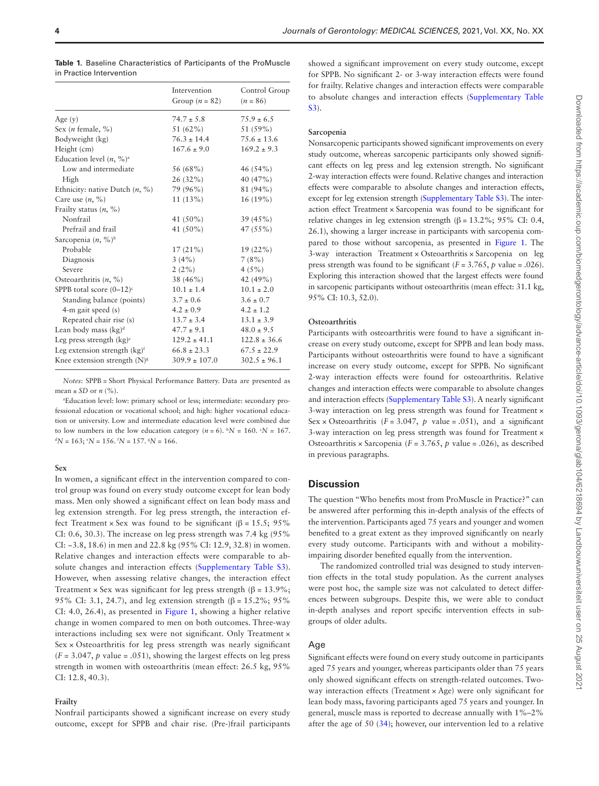|                                       | Intervention<br>Group $(n = 82)$ | Control Group<br>$(n = 86)$ |
|---------------------------------------|----------------------------------|-----------------------------|
| Age $(y)$                             | $74.7 \pm 5.8$                   | $75.9 \pm 6.5$              |
| Sex ( <i>n</i> female, $\%$ )         | 51 $(62\%)$                      | 51 (59%)                    |
| Bodyweight (kg)                       | $76.3 \pm 14.4$                  | $75.6 \pm 13.6$             |
| Height (cm)                           | $167.6 \pm 9.0$                  | $169.2 \pm 9.3$             |
| Education level $(n, %)$ <sup>a</sup> |                                  |                             |
| Low and intermediate                  | 56 (68%)                         | 46(54%)                     |
| High                                  | $26(32\%)$                       | 40 (47%)                    |
| Ethnicity: native Dutch $(n, %)$      | 79 (96%)                         | 81 (94%)                    |
| Care use $(n, %)$                     | $11(13\%)$                       | $16(19\%)$                  |
| Frailty status $(n, %)$               |                                  |                             |
| Nonfrail                              | 41 (50%)                         | 39(45%)                     |
| Prefrail and frail                    | 41 $(50\%)$                      | $47(55\%)$                  |
| Sarcopenia (n, %) <sup>b</sup>        |                                  |                             |
| Probable                              | $17(21\%)$                       | $19(22\%)$                  |
| Diagnosis                             | 3(4%)                            | 7(8%)                       |
| Severe                                | 2(2%)                            | 4(5%)                       |
| Osteoarthritis $(n, %)$               | $38(46\%)$                       | 42 (49%)                    |
| SPPB total score $(0-12)^c$           | $10.1 \pm 1.4$                   | $10.1 \pm 2.0$              |
| Standing balance (points)             | $3.7 \pm 0.6$                    | $3.6 \pm 0.7$               |
| $4-m$ gait speed $(s)$                | $4.2 \pm 0.9$                    | $4.2 \pm 1.2$               |
| Repeated chair rise (s)               | $13.7 \pm 3.4$                   | $13.1 \pm 3.9$              |
| Lean body mass $(kg)^d$               | $47.7 \pm 9.1$                   | $48.0 \pm 9.5$              |
| Leg press strength $(kg)^c$           | $129.2 \pm 41.1$                 | $122.8 \pm 36.6$            |
| Leg extension strength $(kg)^f$       | $66.8 \pm 23.3$                  | $67.5 \pm 22.9$             |
| Knee extension strength $(N)^{g}$     | $309.9 \pm 107.0$                | $302.5 \pm 96.1$            |

<span id="page-3-0"></span>**Table 1.** Baseline Characteristics of Participants of the ProMuscle in Practice Intervention

*Notes*: SPPB = Short Physical Performance Battery. Data are presented as mean  $\pm$  *SD* or *n* (%).

a Education level: low: primary school or less; intermediate: secondary professional education or vocational school; and high: higher vocational education or university. Low and intermediate education level were combined due to low numbers in the low education category  $(n = 6)$ .  ${}^bN = 160$ .  ${}^cN = 167$ .  $dN = 163$ ;  $dN = 156$ .  $dN = 157$ .  $dN = 166$ .

#### **Sex**

In women, a significant effect in the intervention compared to control group was found on every study outcome except for lean body mass. Men only showed a significant effect on lean body mass and leg extension strength. For leg press strength, the interaction effect Treatment × Sex was found to be significant ( $\beta$  = 15.5; 95%) CI: 0.6, 30.3). The increase on leg press strength was 7.4 kg (95% CI: −3.8, 18.6) in men and 22.8 kg (95% CI: 12.9, 32.8) in women. Relative changes and interaction effects were comparable to absolute changes and interaction effects ([Supplementary Table S3\)](http://academic.oup.com/biomedgerontology/article-lookup/doi/10.1093/gerona/glab104#supplementary-data). However, when assessing relative changes, the interaction effect Treatment × Sex was significant for leg press strength ( $\beta$  = 13.9%; 95% CI: 3.1, 24.7), and leg extension strength (β = 15.2%; 95%) CI: 4.0, 26.4), as presented in [Figure 1,](#page-5-0) showing a higher relative change in women compared to men on both outcomes. Three-way interactions including sex were not significant. Only Treatment × Sex × Osteoarthritis for leg press strength was nearly significant  $(F = 3.047, p$  value = .051), showing the largest effects on leg press strength in women with osteoarthritis (mean effect: 26.5 kg, 95% CI: 12.8, 40.3).

#### **Frailty**

Nonfrail participants showed a significant increase on every study outcome, except for SPPB and chair rise. (Pre-)frail participants

showed a significant improvement on every study outcome, except for SPPB. No significant 2- or 3-way interaction effects were found for frailty. Relative changes and interaction effects were comparable to absolute changes and interaction effects ([Supplementary Table](http://academic.oup.com/biomedgerontology/article-lookup/doi/10.1093/gerona/glab104#supplementary-data)  [S3](http://academic.oup.com/biomedgerontology/article-lookup/doi/10.1093/gerona/glab104#supplementary-data)).

#### **Sarcopenia**

Nonsarcopenic participants showed significant improvements on every study outcome, whereas sarcopenic participants only showed significant effects on leg press and leg extension strength. No significant 2-way interaction effects were found. Relative changes and interaction effects were comparable to absolute changes and interaction effects, except for leg extension strength [\(Supplementary Table S3](http://academic.oup.com/biomedgerontology/article-lookup/doi/10.1093/gerona/glab104#supplementary-data)). The interaction effect Treatment × Sarcopenia was found to be significant for relative changes in leg extension strength (β = 13.2%; 95% CI: 0.4, 26.1), showing a larger increase in participants with sarcopenia compared to those without sarcopenia, as presented in [Figure 1.](#page-5-0) The 3-way interaction Treatment × Osteoarthritis × Sarcopenia on leg press strength was found to be significant  $(F = 3.765, p$  value = .026). Exploring this interaction showed that the largest effects were found in sarcopenic participants without osteoarthritis (mean effect: 31.1 kg, 95% CI: 10.3, 52.0).

# **Osteoarthritis**

Participants with osteoarthritis were found to have a significant increase on every study outcome, except for SPPB and lean body mass. Participants without osteoarthritis were found to have a significant increase on every study outcome, except for SPPB. No significant 2-way interaction effects were found for osteoarthritis. Relative changes and interaction effects were comparable to absolute changes and interaction effects ([Supplementary Table S3\)](http://academic.oup.com/biomedgerontology/article-lookup/doi/10.1093/gerona/glab104#supplementary-data). A nearly significant 3-way interaction on leg press strength was found for Treatment × Sex × Osteoarthritis ( $F = 3.047$ ,  $p$  value = .051), and a significant 3-way interaction on leg press strength was found for Treatment × Osteoarthritis × Sarcopenia (*F* = 3.765, *p* value = .026), as described in previous paragraphs.

# **Discussion**

The question "Who benefits most from ProMuscle in Practice?" can be answered after performing this in-depth analysis of the effects of the intervention. Participants aged 75 years and younger and women benefited to a great extent as they improved significantly on nearly every study outcome. Participants with and without a mobilityimpairing disorder benefited equally from the intervention.

The randomized controlled trial was designed to study intervention effects in the total study population. As the current analyses were post hoc, the sample size was not calculated to detect differences between subgroups. Despite this, we were able to conduct in-depth analyses and report specific intervention effects in subgroups of older adults.

# Age

Significant effects were found on every study outcome in participants aged 75 years and younger, whereas participants older than 75 years only showed significant effects on strength-related outcomes. Twoway interaction effects (Treatment × Age) were only significant for lean body mass, favoring participants aged 75 years and younger. In general, muscle mass is reported to decrease annually with 1%–2% after the age of 50 ([34\)](#page-7-27); however, our intervention led to a relative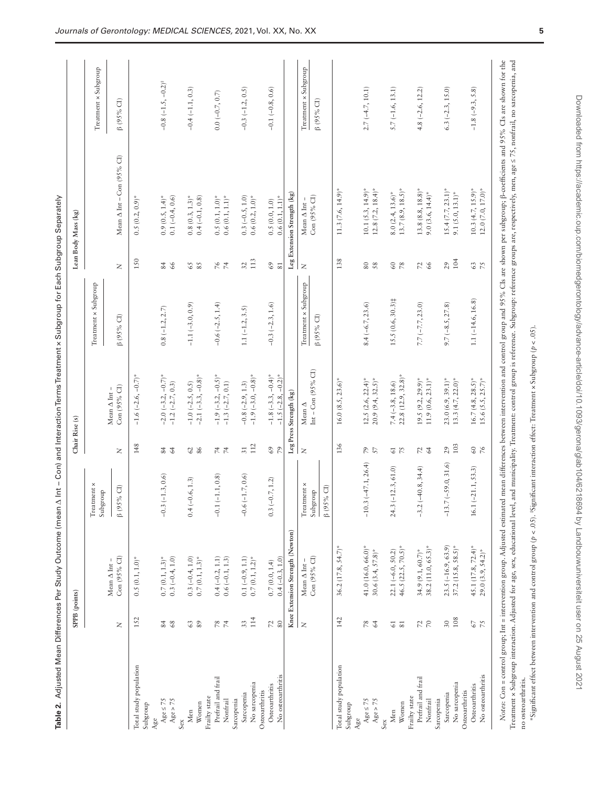|                                                       | SPPB (points)                                   |                                                                          |                                                                       | Chair Rise (s)  |                                                                                |                                          |                      | Lean Body Mass (kg)                                                                                                                                                                                               |                                          |
|-------------------------------------------------------|-------------------------------------------------|--------------------------------------------------------------------------|-----------------------------------------------------------------------|-----------------|--------------------------------------------------------------------------------|------------------------------------------|----------------------|-------------------------------------------------------------------------------------------------------------------------------------------------------------------------------------------------------------------|------------------------------------------|
|                                                       |                                                 |                                                                          | $\label{eq:1} \textcolor{red}{\mathrm{Treatment}} \times$<br>Subgroup |                 |                                                                                | Treatment x Subgroup                     |                      |                                                                                                                                                                                                                   | Treatment x Subgroup                     |
|                                                       | $\geq$                                          | Con (95% CI)<br>Mean $\Delta$ Int –                                      | $\beta$ (95% CI)                                                      | $\geq$          | Con $(95\%$ CI)<br>Mean $\Delta$ Int-                                          | $\beta$ (95% CI)                         | $\bar{z}$            | Mean $\Delta$ Int – Con (95% CI)                                                                                                                                                                                  | $\beta$ (95% CI)                         |
| Total study population<br>Subgroup                    | 152                                             | 0.5(0.1, 1.0)                                                            |                                                                       | 148             | $-1.6$ $(-2.6, -0.7)$ <sup>*</sup>                                             |                                          | 150                  | $0.5(0.2, 0.9)^{*}$                                                                                                                                                                                               |                                          |
| Age $> 75$<br>Age $\leq 75$<br>Age                    | 84<br>68                                        | $0.7(0.1, 1.3)$ *<br>$0.3 (-0.4, 1.0)$                                   | $-0.3 (-1.3, 0.6)$                                                    | 24              | $-2.0$ $(-3.2, -0.7)$ *<br>$-1.2 (-2.7, 0.3)$                                  | $0.8(-1.2, 2.7)$                         | 84 66                | $0.9(0.5, 1.4)^*$<br>$0.1 (-0.4, 0.6)$                                                                                                                                                                            | $-0.8$ $(-1.5, -0.2)^{\ddagger}$         |
| Women<br>Men<br>Sex                                   | 63<br>89                                        | $0.3(-0.4, 1.0)$<br>$0.7(0.1, 1.3)$ *                                    | $0.4 (-0.6, 1.3)$                                                     | $\frac{62}{86}$ | $-2.1$ $(-3.3, -0.8)$ <sup>*</sup><br>$-1.0$ $(-2.5, 0.5)$                     | $-1.1 (-3.0, 0.9)$                       | $rac{28}{5}$         | $0.8(0.3, 1.3)^*$<br>$0.4 (-0.1, 0.8)$                                                                                                                                                                            | $-0.4 (-1.1, 0.3)$                       |
| Prefrail and frail<br>Frailty state<br>Nonfrail       | 78                                              | $0.4 (-0.2, 1.1)$<br>$0.6 (-0.1, 1.3)$                                   | $-0.1(-1.1, 0.8)$                                                     | 74              | $-1.9$ $(-3.2, -0.5)$ *<br>-1.3 $(-2.7, 0.1)$                                  | $-0.6(-2.5, 1.4)$                        | $\frac{6}{7}$        | $0.5(0.1, 1.0)$ *<br>$0.6\ (0.1, \, 1.1)^*$                                                                                                                                                                       | $0.0 (-0.7, 0.7)$                        |
| No sarcopenia<br>Sarcopenia<br>Sarcopenia             | $114$<br>33                                     | $0.1 (-0.9, 1.1)$<br>$0.7\,(0.1,1.2)^*$                                  | $-0.6(-1.7, 0.6)$                                                     | $112$<br>$51\,$ | $-1.9(-3.0, -0.8)$ *<br>$-0.8 (-2.9, 1.3)$                                     | $1.1 (-1.2, 3.5)$                        | 113<br>32            | $0.3(-0.5, 1.0)$<br>$0.6(0.2, 1.0)$ *                                                                                                                                                                             | $-0.3 (-1.2, 0.5)$                       |
| No osteoarthritis<br>Osteoarthritis<br>Osteoarthritis | 72<br>80                                        | Knee Extension Strength (Newton)<br>$0.4(-0.3, 1.0)$<br>$0.7\,(0.0,1.4)$ | $(-0.7, 1.2)$<br>$0.\overline{3}$                                     | 69              | $-1.8$ $(-3.3, -0.4)^*$<br>$-1.5$ $(-2.8, -0.2)^*$                             | $-0.3(-2.3, 1.6)$                        | $\mathcal{C}9$<br>81 | Leg Extension Strength (kg)<br>$0.6(0.1, 1.1)^*$<br>0.5(0.0, 1.0)                                                                                                                                                 | $-0.1 (-0.8, 0.6)$                       |
|                                                       | $\bar{z}$                                       | Con (95% CI)<br>Mean $\Delta$ Int-                                       | $\operatorname{Trearment} \times$<br>$\beta$ (95% CI)<br>Subgroup     | $\geq$          | Int – Con (95% CI)<br>${\rm Leg}$ Press Strength $({\rm kg})$<br>Mean $\Delta$ | Treatment x Subgroup<br>$\beta$ (95% CI) | $\mathsf{z}$         | Con $(95\%$ Cl)<br>Mean $\Delta$ Int                                                                                                                                                                              | Treatment x Subgroup<br>$\beta$ (95% CI) |
| Total study population<br>Subgroup                    | 142                                             | $36.2$ (17.8, 54.7) <sup>*</sup>                                         |                                                                       | 136             | $16.0 (8.5, 23.6)^*$                                                           |                                          | 138                  | $11.3(7.6, 14.9)^{*}$                                                                                                                                                                                             |                                          |
| Age $> 75$<br>Age $\leq 75$<br>Age                    | F8<br>64                                        | 41.0 (16.0, 66.0)*<br>30.6 $(3.4, 57.8)$ *                               | $-10.3 (-47.1, 26.4)$                                                 | 57              | $20.9(9.4, 32.5)$ *<br>$12.5$ $(2.6, 22.4)^*$                                  | $8.4(-6.7, 23.6)$                        | <b>80</b><br>58      | $12.8(7.2, 18.4)$ *<br>$10.1 (5.3, 14.9)^*$                                                                                                                                                                       | $2.7(-4.7, 10.1)$                        |
| Women<br>Men<br>Sex                                   | $61\,$<br>$\overline{\phantom{0}}8\overline{1}$ | 46.5 $(22.5, 70.5)$ *<br>$22.1 (-6.0, 50.2)$                             | $24.3(-12.3, 61.0)$                                                   | 55              | $22.8$ $(12.9, 32.8)$ <sup>*</sup><br>$7.4(-3.8, 18.6)$                        | 15.5 (0.6, 30.3)#                        | $rac{60}{78}$        | $13.7(8.9, 18.5)^*$<br>$8.0~(2.4, 13.6)$ *                                                                                                                                                                        | $5.7(-1.6, 13.1)$                        |
| Prefrail and frail<br>Frailty state<br>Nonfrail       | $\frac{2}{70}$                                  | $38.2(11.0, 65.3)^*$<br>$34.9 (9.1, 60.7)^*$                             | $-3.2(-40.8, 34.4)$                                                   | 72              | $19.5 (9.2, 29.9)^*$<br>$11.9(0.6, 23.1)^*$                                    | $7.7 (-7.7, 23.0)$                       | $72$ 66              | $13.8(8.8, 18.8)^*$<br>$9.0(3.6, 14.4)^*$                                                                                                                                                                         | $4.8 (-2.6, 12.2)$                       |
| No sarcopenia<br>Sarcopenia<br>Sarcopenia             | 108<br>$30\,$                                   | $23.5 (-16.9, 63.9)$<br>$37.2$ $(15.8, 58.5)^*$                          | $-13.7(-59.0, 31.6)$                                                  | 103<br>29       | $23.0(6.9, 39.1)^*$<br>$13.3(4.7, 22.0)^*$                                     | $9.7 (-8.5, 27.8)$                       | 104<br>$^{29}$       | $15.4 (7.7, 23.1)^*$<br>$9.1 (5.0, 13.1)^*$                                                                                                                                                                       | $6.3 (-2.3, 15.0)$                       |
| No osteoarthritis<br>Osteoarthritis<br>Osteoarthritis | 75<br>$\sqrt{9}$                                | 45.1 (17.8, 72.4)*<br>$29.0(3.9, 54.2)^*$                                | $16.1 (-21.1, 53.3)$                                                  | $\frac{9}{2}$   | $16.7(4.8, 28.5)$ *<br>$15.6$ $(5.5, 25.7)^*$                                  | $1.1 (-14.6, 16.8)$                      | 75<br>$\mathbb{G}$   | $10.3(4.7, 15.9)^*$<br>$12.0$ $(7.0, 17.0)$ <sup>*</sup>                                                                                                                                                          | $-1.8 (-9.3, 5.8)$                       |
|                                                       |                                                 |                                                                          |                                                                       |                 |                                                                                |                                          |                      | Notes: Con = control group; Int = intervention group. Adjusted estimated mean differences between intervention and control group and 95% CIs are shown per subgroup; β-coefficients and 95% CIs are shown for the |                                          |

Treatment x Subgroup interaction. Adjusted for age, sex, educational level, and municipality. Treatment: control group is reference. Subgroup: reference groups are, respectively, men, age ≤ 75, nonfrail, no sarcopenia, and Treatment × Subgroup interaction. Adjusted for age, sex, educational level, and municipality. Treatment: control group is reference. Subgroup: reference groups are, respectively, men, age ≤ 75, nonfrail, no sarcopenia, and no osteoarthritis. no osteoarthritis.

<span id="page-4-0"></span>"Significant effect between intervention and control group ( $p < 0S$ ). "Significant interaction effect: Treatment x Subgroup ( $p < 0S$ ). \*Significant effect between intervention and control group (*p* < .05). ‡Significant interaction effect: Treatment × Subgroup (*p* < .05).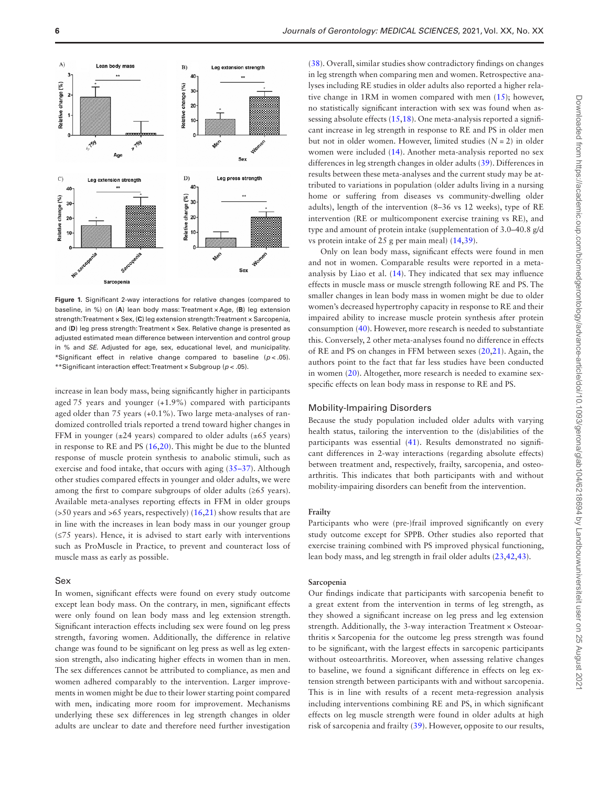

<span id="page-5-0"></span>**Figure 1.** Significant 2-way interactions for relative changes (compared to baseline, in %) on (**A**) lean body mass: Treatment × Age, (**B**) leg extension strength: Treatment × Sex, (**C**) leg extension strength: Treatment × Sarcopenia, and (D) leg press strength: Treatment x Sex. Relative change is presented as adjusted estimated mean difference between intervention and control group in % and *SE*. Adjusted for age, sex, educational level, and municipality. \*Significant effect in relative change compared to baseline  $(p < .05)$ . \*\*Significant interaction effect: Treatment × Subgroup (*p* < .05).

increase in lean body mass, being significantly higher in participants aged 75 years and younger (+1.9%) compared with participants aged older than 75 years (+0.1%). Two large meta-analyses of randomized controlled trials reported a trend toward higher changes in FFM in younger  $(\pm 24 \text{ years})$  compared to older adults  $(\pm 65 \text{ years})$ in response to RE and PS [\(16](#page-7-9),[20\)](#page-7-13). This might be due to the blunted response of muscle protein synthesis to anabolic stimuli, such as exercise and food intake, that occurs with aging [\(35](#page-7-28)[–37](#page-7-29)). Although other studies compared effects in younger and older adults, we were among the first to compare subgroups of older adults (≥65 years). Available meta-analyses reporting effects in FFM in older groups ( $>50$  years and  $>65$  years, respectively) ([16](#page-7-9),[21\)](#page-7-14) show results that are in line with the increases in lean body mass in our younger group (≤75 years). Hence, it is advised to start early with interventions such as ProMuscle in Practice, to prevent and counteract loss of muscle mass as early as possible.

# Sex

In women, significant effects were found on every study outcome except lean body mass. On the contrary, in men, significant effects were only found on lean body mass and leg extension strength. Significant interaction effects including sex were found on leg press strength, favoring women. Additionally, the difference in relative change was found to be significant on leg press as well as leg extension strength, also indicating higher effects in women than in men. The sex differences cannot be attributed to compliance, as men and women adhered comparably to the intervention. Larger improvements in women might be due to their lower starting point compared with men, indicating more room for improvement. Mechanisms underlying these sex differences in leg strength changes in older adults are unclear to date and therefore need further investigation

[\(38](#page-7-30)). Overall, similar studies show contradictory findings on changes in leg strength when comparing men and women. Retrospective analyses including RE studies in older adults also reported a higher relative change in 1RM in women compared with men ([15](#page-7-7)); however, no statistically significant interaction with sex was found when as-sessing absolute effects [\(15](#page-7-7)[,18](#page-7-11)). One meta-analysis reported a significant increase in leg strength in response to RE and PS in older men but not in older women. However, limited studies  $(N = 2)$  in older women were included ([14\)](#page-7-6). Another meta-analysis reported no sex differences in leg strength changes in older adults [\(39\)](#page-7-31). Differences in results between these meta-analyses and the current study may be attributed to variations in population (older adults living in a nursing home or suffering from diseases vs community-dwelling older adults), length of the intervention (8–36 vs 12 weeks), type of RE intervention (RE or multicomponent exercise training vs RE), and type and amount of protein intake (supplementation of 3.0–40.8 g/d vs protein intake of 25 g per main meal) [\(14](#page-7-6)[,39](#page-7-31)).

Only on lean body mass, significant effects were found in men and not in women. Comparable results were reported in a metaanalysis by Liao et al. [\(14\)](#page-7-6). They indicated that sex may influence effects in muscle mass or muscle strength following RE and PS. The smaller changes in lean body mass in women might be due to older women's decreased hypertrophy capacity in response to RE and their impaired ability to increase muscle protein synthesis after protein consumption [\(40](#page-7-32)). However, more research is needed to substantiate this. Conversely, 2 other meta-analyses found no difference in effects of RE and PS on changes in FFM between sexes [\(20](#page-7-13),[21](#page-7-14)). Again, the authors point to the fact that far less studies have been conducted in women ([20\)](#page-7-13). Altogether, more research is needed to examine sexspecific effects on lean body mass in response to RE and PS.

#### Mobility-Impairing Disorders

Because the study population included older adults with varying health status, tailoring the intervention to the (dis)abilities of the participants was essential ([41](#page-7-33)). Results demonstrated no significant differences in 2-way interactions (regarding absolute effects) between treatment and, respectively, frailty, sarcopenia, and osteoarthritis. This indicates that both participants with and without mobility-impairing disorders can benefit from the intervention.

### **Frailty**

Participants who were (pre-)frail improved significantly on every study outcome except for SPPB. Other studies also reported that exercise training combined with PS improved physical functioning, lean body mass, and leg strength in frail older adults [\(23](#page-7-16)[,42](#page-7-34)[,43](#page-7-35)).

#### **Sarcopenia**

Our findings indicate that participants with sarcopenia benefit to a great extent from the intervention in terms of leg strength, as they showed a significant increase on leg press and leg extension strength. Additionally, the 3-way interaction Treatment × Osteoarthritis × Sarcopenia for the outcome leg press strength was found to be significant, with the largest effects in sarcopenic participants without osteoarthritis. Moreover, when assessing relative changes to baseline, we found a significant difference in effects on leg extension strength between participants with and without sarcopenia. This is in line with results of a recent meta-regression analysis including interventions combining RE and PS, in which significant effects on leg muscle strength were found in older adults at high risk of sarcopenia and frailty ([39\)](#page-7-31). However, opposite to our results,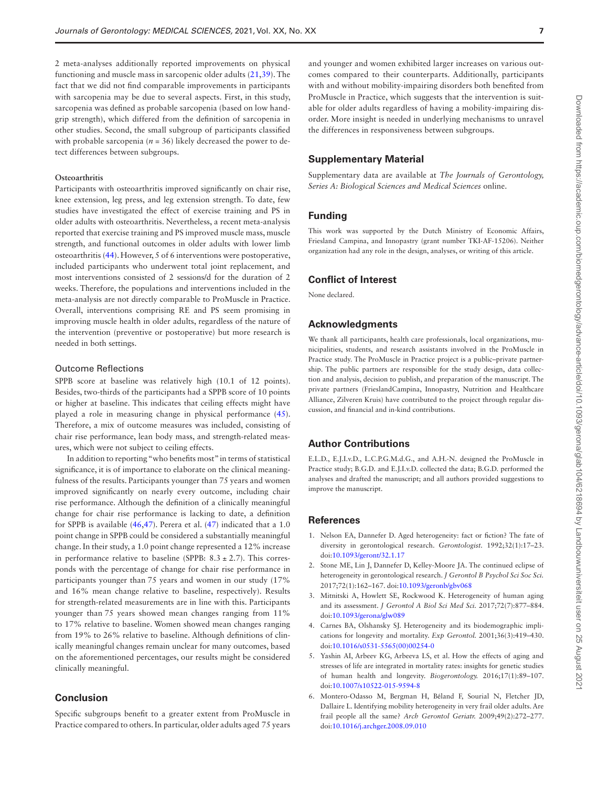2 meta-analyses additionally reported improvements on physical functioning and muscle mass in sarcopenic older adults ([21,](#page-7-14)[39\)](#page-7-31). The fact that we did not find comparable improvements in participants with sarcopenia may be due to several aspects. First, in this study, sarcopenia was defined as probable sarcopenia (based on low handgrip strength), which differed from the definition of sarcopenia in other studies. Second, the small subgroup of participants classified with probable sarcopenia ( $n = 36$ ) likely decreased the power to detect differences between subgroups.

# **Osteoarthritis**

Participants with osteoarthritis improved significantly on chair rise, knee extension, leg press, and leg extension strength. To date, few studies have investigated the effect of exercise training and PS in older adults with osteoarthritis. Nevertheless, a recent meta-analysis reported that exercise training and PS improved muscle mass, muscle strength, and functional outcomes in older adults with lower limb osteoarthritis ([44\)](#page-8-0). However, 5 of 6 interventions were postoperative, included participants who underwent total joint replacement, and most interventions consisted of 2 sessions/d for the duration of 2 weeks. Therefore, the populations and interventions included in the meta-analysis are not directly comparable to ProMuscle in Practice. Overall, interventions comprising RE and PS seem promising in improving muscle health in older adults, regardless of the nature of the intervention (preventive or postoperative) but more research is needed in both settings.

#### Outcome Reflections

SPPB score at baseline was relatively high (10.1 of 12 points). Besides, two-thirds of the participants had a SPPB score of 10 points or higher at baseline. This indicates that ceiling effects might have played a role in measuring change in physical performance [\(45](#page-8-1)). Therefore, a mix of outcome measures was included, consisting of chair rise performance, lean body mass, and strength-related measures, which were not subject to ceiling effects.

In addition to reporting "who benefits most" in terms of statistical significance, it is of importance to elaborate on the clinical meaningfulness of the results. Participants younger than 75 years and women improved significantly on nearly every outcome, including chair rise performance. Although the definition of a clinically meaningful change for chair rise performance is lacking to date, a definition for SPPB is available ([46,](#page-8-2)[47\)](#page-8-3). Perera et al. ([47\)](#page-8-3) indicated that a 1.0 point change in SPPB could be considered a substantially meaningful change. In their study, a 1.0 point change represented a 12% increase in performance relative to baseline (SPPB:  $8.3 \pm 2.7$ ). This corresponds with the percentage of change for chair rise performance in participants younger than 75 years and women in our study (17% and 16% mean change relative to baseline, respectively). Results for strength-related measurements are in line with this. Participants younger than 75 years showed mean changes ranging from 11% to 17% relative to baseline. Women showed mean changes ranging from 19% to 26% relative to baseline. Although definitions of clinically meaningful changes remain unclear for many outcomes, based on the aforementioned percentages, our results might be considered clinically meaningful.

# **Conclusion**

Specific subgroups benefit to a greater extent from ProMuscle in Practice compared to others. In particular, older adults aged 75 years

and younger and women exhibited larger increases on various outcomes compared to their counterparts. Additionally, participants with and without mobility-impairing disorders both benefited from ProMuscle in Practice, which suggests that the intervention is suitable for older adults regardless of having a mobility-impairing disorder. More insight is needed in underlying mechanisms to unravel the differences in responsiveness between subgroups.

# **Supplementary Material**

Supplementary data are available at *The Journals of Gerontology, Series A: Biological Sciences and Medical Sciences* online.

# **Funding**

This work was supported by the Dutch Ministry of Economic Affairs, Friesland Campina, and Innopastry (grant number TKI-AF-15206). Neither organization had any role in the design, analyses, or writing of this article.

# **Conflict of Interest**

None declared.

#### **Acknowledgments**

We thank all participants, health care professionals, local organizations, municipalities, students, and research assistants involved in the ProMuscle in Practice study. The ProMuscle in Practice project is a public–private partnership. The public partners are responsible for the study design, data collection and analysis, decision to publish, and preparation of the manuscript. The private partners (FrieslandCampina, Innopastry, Nutrition and Healthcare Alliance, Zilveren Kruis) have contributed to the project through regular discussion, and financial and in-kind contributions.

# **Author Contributions**

E.L.D., E.J.I.v.D., L.C.P.G.M.d.G., and A.H.-N. designed the ProMuscle in Practice study; B.G.D. and E.J.I.v.D. collected the data; B.G.D. performed the analyses and drafted the manuscript; and all authors provided suggestions to improve the manuscript.

# **References**

- <span id="page-6-0"></span>1. Nelson EA, Dannefer D. Aged heterogeneity: fact or fiction? The fate of diversity in gerontological research. *Gerontologist.* 1992;32(1):17–23. doi[:10.1093/geront/32.1.17](https://doi.org/10.1093/geront/32.1.17)
- <span id="page-6-1"></span>2. Stone ME, Lin J, Dannefer D, Kelley-Moore JA. The continued eclipse of heterogeneity in gerontological research. *J Gerontol B Psychol Sci Soc Sci.* 2017;72(1):162–167. doi:[10.1093/geronb/gbv068](https://doi.org/10.1093/geronb/gbv068)
- <span id="page-6-2"></span>3. Mitnitski A, Howlett SE, Rockwood K. Heterogeneity of human aging and its assessment. *J Gerontol A Biol Sci Med Sci.* 2017;72(7):877–884. doi[:10.1093/gerona/glw089](https://doi.org/10.1093/gerona/glw089)
- 4. Carnes BA, Olshansky SJ. Heterogeneity and its biodemographic implications for longevity and mortality. *Exp Gerontol.* 2001;36(3):419–430. doi[:10.1016/s0531-5565\(00\)00254-0](https://doi.org/10.1016/s0531-5565(00)00254-0)
- 5. Yashin AI, Arbeev KG, Arbeeva LS, et al. How the effects of aging and stresses of life are integrated in mortality rates: insights for genetic studies of human health and longevity. *Biogerontology.* 2016;17(1):89–107. doi[:10.1007/s10522-015-9594-8](https://doi.org/10.1007/s10522-015-9594-8)
- <span id="page-6-3"></span>6. Montero-Odasso M, Bergman H, Béland F, Sourial N, Fletcher JD, Dallaire L. Identifying mobility heterogeneity in very frail older adults. Are frail people all the same? *Arch Gerontol Geriatr.* 2009;49(2):272–277. doi[:10.1016/j.archger.2008.09.010](https://doi.org/10.1016/j.archger.2008.09.010)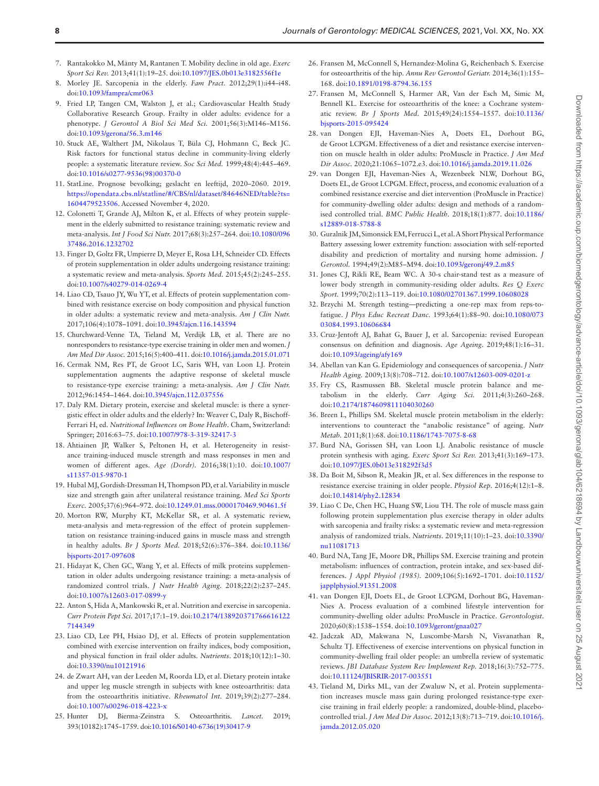- <span id="page-7-0"></span>7. Rantakokko M, Mänty M, Rantanen T. Mobility decline in old age. *Exerc Sport Sci Rev.* 2013;41(1):19–25. doi:[10.1097/JES.0b013e3182556f1e](https://doi.org/10.1097/JES.0b013e3182556f1e)
- <span id="page-7-2"></span>8. Morley JE. Sarcopenia in the elderly. *Fam Pract.* 2012;29(1):i44–i48. doi[:10.1093/fampra/cmr063](https://doi.org/10.1093/fampra/cmr063)
- <span id="page-7-3"></span>9. Fried LP, Tangen CM, Walston J, et al.; Cardiovascular Health Study Collaborative Research Group. Frailty in older adults: evidence for a phenotype. *J Gerontol A Biol Sci Med Sci.* 2001;56(3):M146–M156. doi[:10.1093/gerona/56.3.m146](https://doi.org/10.1093/gerona/56.3.m146)
- <span id="page-7-1"></span>10. Stuck AE, Walthert JM, Nikolaus T, Büla CJ, Hohmann C, Beck JC. Risk factors for functional status decline in community-living elderly people: a systematic literature review. *Soc Sci Med.* 1999;48(4):445–469. doi[:10.1016/s0277-9536\(98\)00370-0](https://doi.org/10.1016/s0277-9536(98)00370-0)
- <span id="page-7-4"></span>11. StatLine. Prognose bevolking; geslacht en leeftijd, 2020–2060. 2019. [https://opendata.cbs.nl/statline/#/CBS/nl/dataset/84646NED/table?ts=](https://opendata.cbs.nl/statline/#/CBS/nl/dataset/84646NED/table?ts=1604479523506) [1604479523506](https://opendata.cbs.nl/statline/#/CBS/nl/dataset/84646NED/table?ts=1604479523506). Accessed November 4, 2020.
- <span id="page-7-5"></span>12. Colonetti T, Grande AJ, Milton K, et al. Effects of whey protein supplement in the elderly submitted to resistance training: systematic review and meta-analysis. *Int J Food Sci Nutr.* 2017;68(3):257–264. doi:[10.1080/096](https://doi.org/10.1080/09637486.2016.1232702) [37486.2016.1232702](https://doi.org/10.1080/09637486.2016.1232702)
- <span id="page-7-8"></span>13. Finger D, Goltz FR, Umpierre D, Meyer E, Rosa LH, Schneider CD. Effects of protein supplementation in older adults undergoing resistance training: a systematic review and meta-analysis. *Sports Med.* 2015;45(2):245–255. doi[:10.1007/s40279-014-0269-4](https://doi.org/10.1007/s40279-014-0269-4)
- <span id="page-7-6"></span>14. Liao CD, Tsauo JY, Wu YT, et al. Effects of protein supplementation combined with resistance exercise on body composition and physical function in older adults: a systematic review and meta-analysis. *Am J Clin Nutr.* 2017;106(4):1078–1091. doi[:10.3945/ajcn.116.143594](https://doi.org/10.3945/ajcn.116.143594)
- <span id="page-7-7"></span>15. Churchward-Venne TA, Tieland M, Verdijk LB, et al. There are no nonresponders to resistance-type exercise training in older men and women. *J Am Med Dir Assoc.* 2015;16(5):400–411. doi[:10.1016/j.jamda.2015.01.071](https://doi.org/10.1016/j.jamda.2015.01.071)
- <span id="page-7-9"></span>16. Cermak NM, Res PT, de Groot LC, Saris WH, van Loon LJ. Protein supplementation augments the adaptive response of skeletal muscle to resistance-type exercise training: a meta-analysis. *Am J Clin Nutr.* 2012;96:1454–1464. doi:[10.3945/ajcn.112.037556](https://doi.org/10.3945/ajcn.112.037556)
- <span id="page-7-10"></span>17. Daly RM. Dietary protein, exercise and skeletal muscle: is there a synergistic effect in older adults and the elderly? In: Weaver C, Daly R, Bischoff-Ferrari H, ed. *Nutritional Influences on Bone Health*. Cham, Switzerland: Springer; 2016:63–75. doi:[10.1007/978-3-319-32417-3](https://doi.org/10.1007/978-3-319-32417-3)
- <span id="page-7-11"></span>18. Ahtiainen JP, Walker S, Peltonen H, et al. Heterogeneity in resistance training-induced muscle strength and mass responses in men and women of different ages. *Age (Dordr).* 2016;38(1):10. doi[:10.1007/](https://doi.org/10.1007/s11357-015-9870-1) [s11357-015-9870-1](https://doi.org/10.1007/s11357-015-9870-1)
- <span id="page-7-12"></span>19. Hubal MJ, Gordish-Dressman H, Thompson PD, et al. Variability in muscle size and strength gain after unilateral resistance training. *Med Sci Sports Exerc.* 2005;37(6):964–972. doi:[10.1249.01.mss.0000170469.90461.5f](https://doi.org/10.1249.01.mss.0000170469.90461.5f)
- <span id="page-7-13"></span>20. Morton RW, Murphy KT, McKellar SR, et al. A systematic review, meta-analysis and meta-regression of the effect of protein supplementation on resistance training-induced gains in muscle mass and strength in healthy adults. *Br J Sports Med.* 2018;52(6):376–384. doi[:10.1136/](https://doi.org/10.1136/bjsports-2017-097608) [bjsports-2017-097608](https://doi.org/10.1136/bjsports-2017-097608)
- <span id="page-7-14"></span>21. Hidayat K, Chen GC, Wang Y, et al. Effects of milk proteins supplementation in older adults undergoing resistance training: a meta-analysis of randomized control trials. *J Nutr Health Aging.* 2018;22(2):237–245. doi[:10.1007/s12603-017-0899-y](https://doi.org/10.1007/s12603-017-0899-y)
- <span id="page-7-15"></span>22. Anton S, Hida A, Mankowski R, et al. Nutrition and exercise in sarcopenia. *Curr Protein Pept Sci.* 2017;17:1–19. doi[:10.2174/138920371766616122](https://doi.org/10.2174/1389203717666161227144349) [7144349](https://doi.org/10.2174/1389203717666161227144349)
- <span id="page-7-16"></span>23. Liao CD, Lee PH, Hsiao DJ, et al. Effects of protein supplementation combined with exercise intervention on frailty indices, body composition, and physical function in frail older adults. *Nutrients*. 2018;10(12):1–30. doi[:10.3390/nu10121916](https://doi.org/10.3390/nu10121916)
- <span id="page-7-17"></span>24. de Zwart AH, van der Leeden M, Roorda LD, et al. Dietary protein intake and upper leg muscle strength in subjects with knee osteoarthritis: data from the osteoarthritis initiative. *Rheumatol Int.* 2019;39(2):277–284. doi[:10.1007/s00296-018-4223-x](https://doi.org/10.1007/s00296-018-4223-x)
- <span id="page-7-18"></span>25. Hunter DJ, Bierma-Zeinstra S. Osteoarthritis. *Lancet.* 2019; 393(10182):1745–1759. doi:[10.1016/S0140-6736\(19\)30417-9](https://doi.org/10.1016/S0140-6736(19)30417-9)
- <span id="page-7-19"></span>26. Fransen M, McConnell S, Hernandez-Molina G, Reichenbach S. Exercise for osteoarthritis of the hip. *Annu Rev Gerontol Geriatr.* 2014;36(1):155– 168. doi:[10.1891/0198-8794.36.155](https://doi.org/10.1891/0198-8794.36.155)
- <span id="page-7-20"></span>27. Fransen M, McConnell S, Harmer AR, Van der Esch M, Simic M, Bennell KL. Exercise for osteoarthritis of the knee: a Cochrane systematic review. *Br J Sports Med.* 2015;49(24):1554–1557. doi[:10.1136/](https://doi.org/10.1136/bjsports-2015-095424) [bjsports-2015-095424](https://doi.org/10.1136/bjsports-2015-095424)
- <span id="page-7-21"></span>28. van Dongen EJI, Haveman-Nies A, Doets EL, Dorhout BG, de Groot LCPGM. Effectiveness of a diet and resistance exercise intervention on muscle health in older adults: ProMuscle in Practice. *J Am Med Dir Assoc.* 2020;21:1065–1072.e3. doi[:10.1016/j.jamda.2019.11.026](https://doi.org/10.1016/j.jamda.2019.11.026)
- <span id="page-7-22"></span>29. van Dongen EJI, Haveman-Nies A, Wezenbeek NLW, Dorhout BG, Doets EL, de Groot LCPGM. Effect, process, and economic evaluation of a combined resistance exercise and diet intervention (ProMuscle in Practice) for community-dwelling older adults: design and methods of a randomised controlled trial. *BMC Public Health.* 2018;18(1):877. doi[:10.1186/](https://doi.org/10.1186/s12889-018-5788-8) [s12889-018-5788-8](https://doi.org/10.1186/s12889-018-5788-8)
- <span id="page-7-23"></span>30. Guralnik JM, Simonsick EM, Ferrucci L, et al. A Short Physical Performance Battery assessing lower extremity function: association with self-reported disability and prediction of mortality and nursing home admission. *J Gerontol.* 1994;49(2):M85–M94. doi[:10.1093/geronj/49.2.m85](https://doi.org/10.1093/geronj/49.2.m85)
- <span id="page-7-24"></span>31. Jones CJ, Rikli RE, Beam WC. A 30-s chair-stand test as a measure of lower body strength in community-residing older adults. *Res Q Exerc Sport.* 1999;70(2):113–119. doi:[10.1080/02701367.1999.10608028](https://doi.org/10.1080/02701367.1999.10608028)
- <span id="page-7-25"></span>32. Brzychi M. Strength testing—predicting a one-rep max from reps-tofatigue. *J Phys Educ Recreat Danc.* 1993;64(1):88–90. doi:[10.1080/073](https://doi.org/10.1080/07303084.1993.10606684) [03084.1993.10606684](https://doi.org/10.1080/07303084.1993.10606684)
- <span id="page-7-26"></span>33. Cruz-Jentoft AJ, Bahat G, Bauer J, et al. Sarcopenia: revised European consensus on definition and diagnosis. *Age Ageing*. 2019;48(1):16–31. doi[:10.1093/ageing/afy169](https://doi.org/10.1093/ageing/afy169)
- <span id="page-7-27"></span>34. Abellan van Kan G. Epidemiology and consequences of sarcopenia. *J Nutr Health Aging.* 2009;13(8):708–712. doi:[10.1007/s12603-009-0201-z](https://doi.org/10.1007/s12603-009-0201-z)
- <span id="page-7-28"></span>35. Fry CS, Rasmussen BB. Skeletal muscle protein balance and metabolism in the elderly. *Curr Aging Sci.* 2011;4(3):260–268. doi[:10.2174/1874609811104030260](https://doi.org/10.2174/1874609811104030260)
- 36. Breen L, Phillips SM. Skeletal muscle protein metabolism in the elderly: interventions to counteract the "anabolic resistance" of ageing. *Nutr Metab.* 2011;8(1):68. doi:[10.1186/1743-7075-8-68](https://doi.org/10.1186/1743-7075-8-68)
- <span id="page-7-29"></span>37. Burd NA, Gorissen SH, van Loon LJ. Anabolic resistance of muscle protein synthesis with aging. *Exerc Sport Sci Rev.* 2013;41(3):169–173. doi[:10.1097/JES.0b013e318292f3d5](https://doi.org/10.1097/JES.0b013e318292f3d5)
- <span id="page-7-30"></span>38. Da Boit M, Sibson R, Meakin JR, et al. Sex differences in the response to resistance exercise training in older people. *Physiol Rep.* 2016;4(12):1–8. doi[:10.14814/phy2.12834](https://doi.org/10.14814/phy2.12834)
- <span id="page-7-31"></span>39. Liao C De, Chen HC, Huang SW, Liou TH. The role of muscle mass gain following protein supplementation plus exercise therapy in older adults with sarcopenia and frailty risks: a systematic review and meta-regression analysis of randomized trials. *Nutrients*. 2019;11(10):1–23. doi[:10.3390/](https://doi.org/10.3390/nu11081713) [nu11081713](https://doi.org/10.3390/nu11081713)
- <span id="page-7-32"></span>40. Burd NA, Tang JE, Moore DR, Phillips SM. Exercise training and protein metabolism: influences of contraction, protein intake, and sex-based differences. *J Appl Physiol (1985).* 2009;106(5):1692–1701. doi[:10.1152/](https://doi.org/10.1152/japplphysiol.91351.2008) [japplphysiol.91351.2008](https://doi.org/10.1152/japplphysiol.91351.2008)
- <span id="page-7-33"></span>41. van Dongen EJI, Doets EL, de Groot LCPGM, Dorhout BG, Haveman-Nies A. Process evaluation of a combined lifestyle intervention for community-dwelling older adults: ProMuscle in Practice. *Gerontologist*. 2020;60(8):1538–1554. doi[:10.1093/geront/gnaa027](https://doi.org/10.1093/geront/gnaa027)
- <span id="page-7-34"></span>42. Jadczak AD, Makwana N, Luscombe-Marsh N, Visvanathan R, Schultz TJ. Effectiveness of exercise interventions on physical function in community-dwelling frail older people: an umbrella review of systematic reviews. *JBI Database System Rev Implement Rep.* 2018;16(3):752–775. doi[:10.11124/JBISRIR-2017-003551](https://doi.org/10.11124/JBISRIR-2017-003551)
- <span id="page-7-35"></span>43. Tieland M, Dirks ML, van der Zwaluw N, et al. Protein supplementation increases muscle mass gain during prolonged resistance-type exercise training in frail elderly people: a randomized, double-blind, placebocontrolled trial. *J Am Med Dir Assoc.* 2012;13(8):713–719. doi:[10.1016/j.](https://doi.org/10.1016/j.jamda.2012.05.020) [jamda.2012.05.020](https://doi.org/10.1016/j.jamda.2012.05.020)